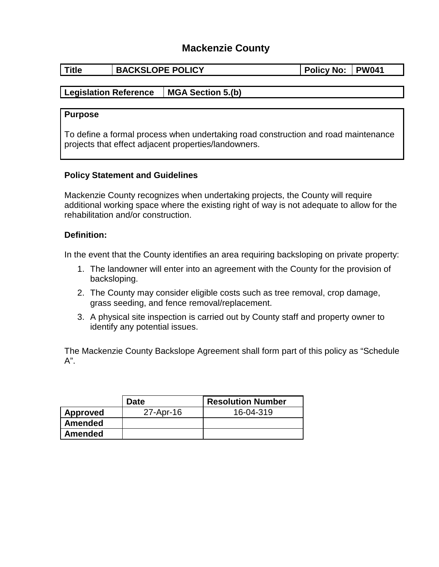# **Mackenzie County**

| <b>Title</b> | <b>BACKSLOPE POLICY</b> | <b>Policy No:</b> |  | <b>PW041</b> |  |
|--------------|-------------------------|-------------------|--|--------------|--|
|--------------|-------------------------|-------------------|--|--------------|--|

## **Legislation Reference MGA Section 5.(b)**

#### **Purpose**

To define a formal process when undertaking road construction and road maintenance projects that effect adjacent properties/landowners.

### **Policy Statement and Guidelines**

Mackenzie County recognizes when undertaking projects, the County will require additional working space where the existing right of way is not adequate to allow for the rehabilitation and/or construction.

#### **Definition:**

In the event that the County identifies an area requiring backsloping on private property:

- 1. The landowner will enter into an agreement with the County for the provision of backsloping.
- 2. The County may consider eligible costs such as tree removal, crop damage, grass seeding, and fence removal/replacement.
- 3. A physical site inspection is carried out by County staff and property owner to identify any potential issues.

The Mackenzie County Backslope Agreement shall form part of this policy as "Schedule A".

|                | <b>Date</b> | <b>Resolution Number</b> |
|----------------|-------------|--------------------------|
| Approved       | 27-Apr-16   | 16-04-319                |
| <b>Amended</b> |             |                          |
| Amended        |             |                          |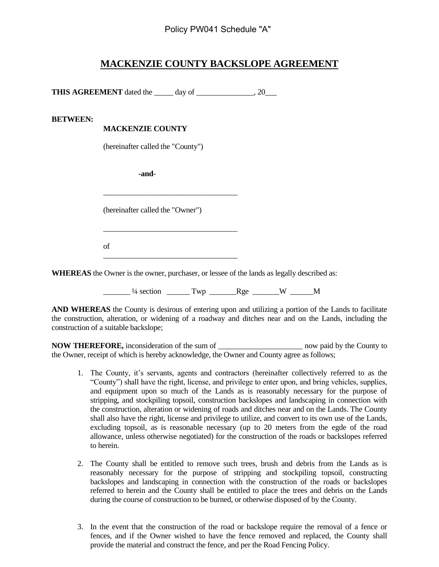## **MACKENZIE COUNTY BACKSLOPE AGREEMENT**

**THIS AGREEMENT** dated the \_\_\_\_\_ day of \_\_\_\_\_\_\_\_\_\_\_\_\_, 20\_\_\_

#### **BETWEEN:**

#### **MACKENZIE COUNTY**

(hereinafter called the "County")

 **-and**-

(hereinafter called the "Owner")

\_\_\_\_\_\_\_\_\_\_\_\_\_\_\_\_\_\_\_\_\_\_\_\_\_\_\_\_\_\_\_\_\_\_\_

\_\_\_\_\_\_\_\_\_\_\_\_\_\_\_\_\_\_\_\_\_\_\_\_\_\_\_\_\_\_\_\_\_\_\_

\_\_\_\_\_\_\_\_\_\_\_\_\_\_\_\_\_\_\_\_\_\_\_\_\_\_\_\_\_\_\_\_\_\_\_

of

**WHEREAS** the Owner is the owner, purchaser, or lessee of the lands as legally described as:

 $\frac{1}{4}$  section  $\frac{1}{2}$  Twp  $\frac{1}{4}$  Rge  $\frac{1}{4}$  W  $\frac{1}{4}$ 

**AND WHEREAS** the County is desirous of entering upon and utilizing a portion of the Lands to facilitate the construction, alteration, or widening of a roadway and ditches near and on the Lands, including the construction of a suitable backslope;

**NOW THEREFORE,** inconsideration of the sum of \_\_\_\_\_\_\_\_\_\_\_\_\_\_\_\_\_\_\_\_\_\_ now paid by the County to the Owner, receipt of which is hereby acknowledge, the Owner and County agree as follows;

- 1. The County, it's servants, agents and contractors (hereinafter collectively referred to as the "County") shall have the right, license, and privilege to enter upon, and bring vehicles, supplies, and equipment upon so much of the Lands as is reasonably necessary for the purpose of stripping, and stockpiling topsoil, construction backslopes and landscaping in connection with the construction, alteration or widening of roads and ditches near and on the Lands. The County shall also have the right, license and privilege to utilize, and convert to its own use of the Lands, excluding topsoil, as is reasonable necessary (up to 20 meters from the egde of the road allowance, unless otherwise negotiated) for the construction of the roads or backslopes referred to herein.
- 2. The County shall be entitled to remove such trees, brush and debris from the Lands as is reasonably necessary for the purpose of stripping and stockpiling topsoil, constructing backslopes and landscaping in connection with the construction of the roads or backslopes referred to herein and the County shall be entitled to place the trees and debris on the Lands during the course of construction to be burned, or otherwise disposed of by the County.
- 3. In the event that the construction of the road or backslope require the removal of a fence or fences, and if the Owner wished to have the fence removed and replaced, the County shall provide the material and construct the fence, and per the Road Fencing Policy.